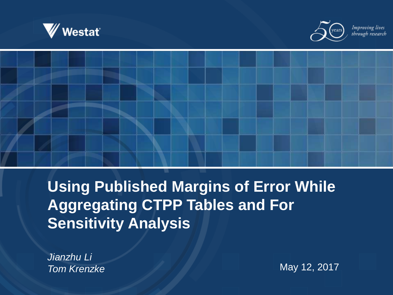



Improving lives through research



**Using Published Margins of Error While Aggregating CTPP Tables and For Sensitivity Analysis**

*Jianzhu Li*

**Tom Krenzke** May 12, 2017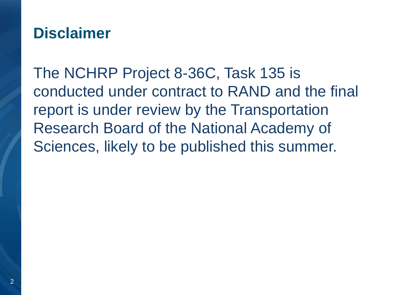### **Disclaimer**

The NCHRP Project 8-36C, Task 135 is conducted under contract to RAND and the final report is under review by the Transportation Research Board of the National Academy of Sciences, likely to be published this summer.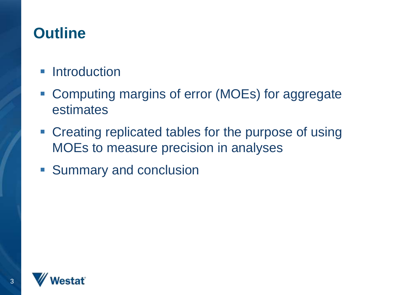### **Outline**

#### **Introduction**

- Computing margins of error (MOEs) for aggregate estimates
- Creating replicated tables for the purpose of using MOEs to measure precision in analyses
- **Summary and conclusion**

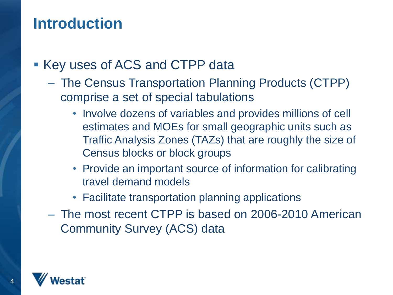### **Introduction**

- Key uses of ACS and CTPP data
	- The Census Transportation Planning Products (CTPP) comprise a set of special tabulations
		- Involve dozens of variables and provides millions of cell estimates and MOEs for small geographic units such as Traffic Analysis Zones (TAZs) that are roughly the size of Census blocks or block groups
		- Provide an important source of information for calibrating travel demand models
		- Facilitate transportation planning applications
	- The most recent CTPP is based on 2006-2010 American Community Survey (ACS) data

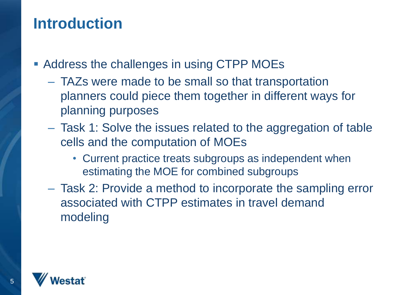### **Introduction**

- **Address the challenges in using CTPP MOEs** 
	- TAZs were made to be small so that transportation planners could piece them together in different ways for planning purposes
	- Task 1: Solve the issues related to the aggregation of table cells and the computation of MOEs
		- Current practice treats subgroups as independent when estimating the MOE for combined subgroups
	- Task 2: Provide a method to incorporate the sampling error associated with CTPP estimates in travel demand modeling

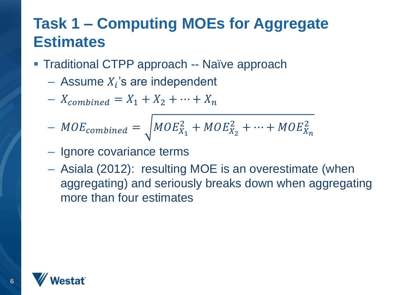- **Traditional CTPP approach -- Naïve approach** 
	- $-$  Assume  $X_i$ 's are independent
	- $X_{combined} = X_1 + X_2 + \cdots + X_n$
	- $-MOE_{combined} = \sqrt{MOE_{X_1}^2 + MOE_{X_2}^2 + \dots + MOE_{X_n}^2}$
	- Ignore covariance terms
	- Asiala (2012): resulting MOE is an overestimate (when aggregating) and seriously breaks down when aggregating more than four estimates

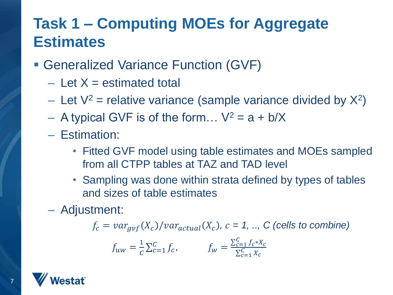- Generalized Variance Function (GVF)
	- $-$  Let  $X =$  estimated total
	- Let  $V^2$  = relative variance (sample variance divided by  $X^2$ )
	- A typical GVF is of the form...  $V^2 = a + b/X$
	- Estimation:
		- Fitted GVF model using table estimates and MOEs sampled from all CTPP tables at TAZ and TAD level
		- Sampling was done within strata defined by types of tables and sizes of table estimates
	- Adjustment:

 $f_c = var_{gvf}(X_c)/var_{actual}(X_c)$ ,  $c = 1, ...$ , C (cells to combine)

$$
f_{uw} = \frac{1}{c} \sum_{c=1}^{c} f_c, \qquad f_w = \frac{\sum_{c=1}^{c} f_c * X_c}{\sum_{c=1}^{c} X_c}
$$

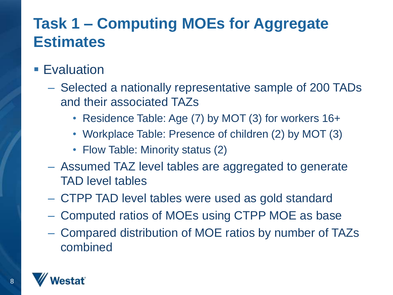#### **Evaluation**

- Selected a nationally representative sample of 200 TADs and their associated TAZs
	- Residence Table: Age (7) by MOT (3) for workers 16+
	- Workplace Table: Presence of children (2) by MOT (3)
	- Flow Table: Minority status (2)
- Assumed TAZ level tables are aggregated to generate TAD level tables
- CTPP TAD level tables were used as gold standard
- Computed ratios of MOEs using CTPP MOE as base
- Compared distribution of MOE ratios by number of TAZs combined

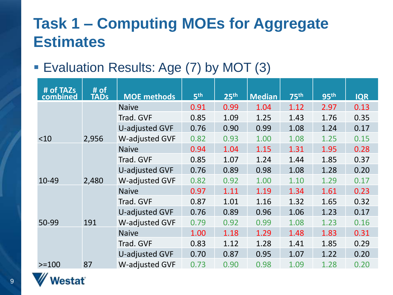#### Evaluation Results: Age (7) by MOT (3)

| # of TAZs<br>combined | # of<br>TADs | <b>MOE</b> methods    | 5 <sup>th</sup> | 25 <sup>th</sup> | <b>Median</b> | <b>75th</b> | 95 <sup>th</sup> | <b>IQR</b> |
|-----------------------|--------------|-----------------------|-----------------|------------------|---------------|-------------|------------------|------------|
|                       |              | <b>Naive</b>          | 0.91            | 0.99             | 1.04          | 1.12        | 2.97             | 0.13       |
|                       |              | Trad. GVF             | 0.85            | 1.09             | 1.25          | 1.43        | 1.76             | 0.35       |
|                       |              | U-adjusted GVF        | 0.76            | 0.90             | 0.99          | 1.08        | 1.24             | 0.17       |
| ~10                   | 2,956        | <b>W-adjusted GVF</b> | 0.82            | 0.93             | 1.00          | 1.08        | 1.25             | 0.15       |
|                       |              | <b>Naive</b>          | 0.94            | 1.04             | 1.15          | 1.31        | 1.95             | 0.28       |
|                       |              | Trad. GVF             | 0.85            | 1.07             | 1.24          | 1.44        | 1.85             | 0.37       |
|                       |              | <b>U-adjusted GVF</b> | 0.76            | 0.89             | 0.98          | 1.08        | 1.28             | 0.20       |
| 10-49                 | 2,480        | W-adjusted GVF        | 0.82            | 0.92             | 1.00          | 1.10        | 1.29             | 0.17       |
|                       |              | <b>Naive</b>          | 0.97            | 1.11             | 1.19          | 1.34        | 1.61             | 0.23       |
|                       |              | Trad. GVF             | 0.87            | 1.01             | 1.16          | 1.32        | 1.65             | 0.32       |
|                       |              | U-adjusted GVF        | 0.76            | 0.89             | 0.96          | 1.06        | 1.23             | 0.17       |
| 50-99                 | 191          | W-adjusted GVF        | 0.79            | 0.92             | 0.99          | 1.08        | 1.23             | 0.16       |
|                       |              | <b>Naive</b>          | 1.00            | 1.18             | 1.29          | 1.48        | 1.83             | 0.31       |
|                       |              | Trad. GVF             | 0.83            | 1.12             | 1.28          | 1.41        | 1.85             | 0.29       |
|                       |              | U-adjusted GVF        | 0.70            | 0.87             | 0.95          | 1.07        | 1.22             | 0.20       |
| $>=100$               | 87           | <b>W-adjusted GVF</b> | 0.73            | 0.90             | 0.98          | 1.09        | 1.28             | 0.20       |

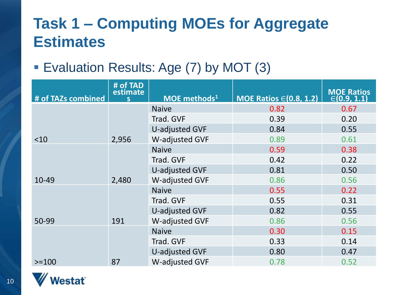Evaluation Results: Age (7) by MOT (3)

| # of TAZs combined | # of TAD<br>estimate | MOE methods <sup>1</sup> | MOE Ratios $\in$ (0.8, 1.2) | MOE Ratios<br>$\in$ (0.9, 1.1) |
|--------------------|----------------------|--------------------------|-----------------------------|--------------------------------|
|                    |                      | <b>Naive</b>             | 0.82                        | 0.67                           |
|                    |                      | Trad. GVF                | 0.39                        | 0.20                           |
|                    |                      | <b>U-adjusted GVF</b>    | 0.84                        | 0.55                           |
| ~10                | 2,956                | W-adjusted GVF           | 0.89                        | 0.61                           |
|                    |                      | <b>Naive</b>             | 0.59                        | 0.38                           |
|                    |                      | Trad. GVF                | 0.42                        | 0.22                           |
|                    |                      | U-adjusted GVF           | 0.81                        | 0.50                           |
| 10-49              | 2,480                | W-adjusted GVF           | 0.86                        | 0.56                           |
|                    |                      | <b>Naive</b>             | 0.55                        | 0.22                           |
|                    |                      | Trad. GVF                | 0.55                        | 0.31                           |
|                    |                      | U-adjusted GVF           | 0.82                        | 0.55                           |
| 50-99              | 191                  | <b>W-adjusted GVF</b>    | 0.86                        | 0.56                           |
|                    |                      | <b>Naive</b>             | 0.30                        | 0.15                           |
|                    |                      | Trad. GVF                | 0.33                        | 0.14                           |
|                    |                      | U-adjusted GVF           | 0.80                        | 0.47                           |
| $>=100$            | 87                   | <b>W-adjusted GVF</b>    | 0.78                        | 0.52                           |

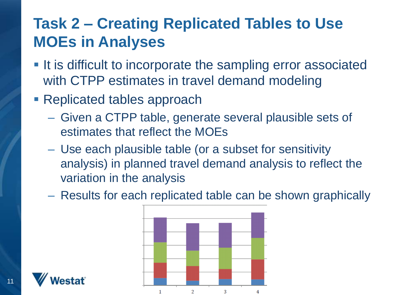- **If is difficult to incorporate the sampling error associated** with CTPP estimates in travel demand modeling
- **Replicated tables approach** 
	- Given a CTPP table, generate several plausible sets of estimates that reflect the MOEs
	- Use each plausible table (or a subset for sensitivity analysis) in planned travel demand analysis to reflect the variation in the analysis
	- Results for each replicated table can be shown graphically



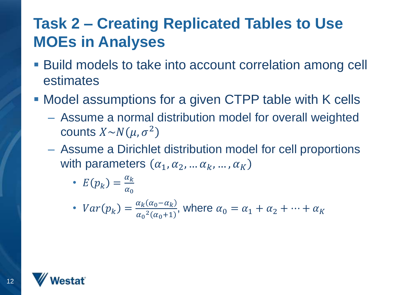- Build models to take into account correlation among cell estimates
- Model assumptions for a given CTPP table with K cells
	- Assume a normal distribution model for overall weighted counts  $X \sim N(\mu, \sigma^2)$
	- Assume a Dirichlet distribution model for cell proportions with parameters  $(\alpha_1, \alpha_2, ..., \alpha_k, ..., \alpha_K)$

• 
$$
E(p_k) = \frac{\alpha_k}{\alpha_0}
$$

•  $Var(p_k) = \frac{\alpha_k (\alpha_0 - \alpha_k)}{\alpha_0^2 (\alpha_0 + 1)}$  $\alpha_0^2(\alpha_0+1)$ , where  $\alpha_0 = \alpha_1 + \alpha_2 + \cdots + \alpha_K$ 

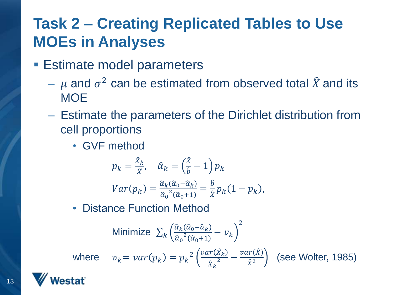- **Estimate model parameters** 
	- $\mu$  and  $\sigma^2$  can be estimated from observed total  $\hat{X}$  and its **MOE**
	- Estimate the parameters of the Dirichlet distribution from cell proportions
		- GVF method

$$
p_k = \frac{\hat{x}_k}{\hat{x}}, \quad \hat{\alpha}_k = \left(\frac{\hat{x}}{\hat{b}} - 1\right) p_k
$$

$$
Var(p_k) = \frac{\hat{\alpha}_k(\hat{\alpha}_0 - \hat{\alpha}_k)}{\hat{\alpha}_0^2(\hat{\alpha}_0 + 1)} = \frac{\hat{b}}{\hat{x}} p_k (1 - p_k),
$$

• Distance Function Method

Minimize 
$$
\sum_{k} \left( \frac{\hat{\alpha}_{k}(\hat{\alpha}_{0} - \hat{\alpha}_{k})}{\hat{\alpha}_{0}^{2}(\hat{\alpha}_{0} + 1)} - \nu_{k} \right)^{2}
$$

where  $v_k = var(p_k) = p_k^2 \left( \frac{var(\hat{X}_k)}{\hat{v}^2} \right)$  ${\hat X}_k$  $\frac{\Delta k}{2}$  –  $var(\hat{X})$  $\hat{X}^2$ 

(see Wolter, 1985)

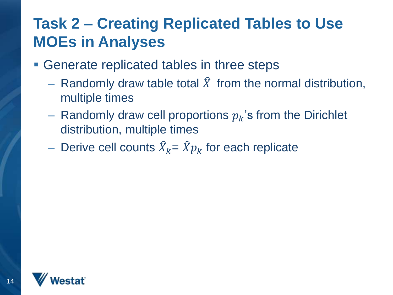- Generate replicated tables in three steps
	- Randomly draw table total  $\hat{X}$  from the normal distribution, multiple times
	- Randomly draw cell proportions  $p_k$ 's from the Dirichlet distribution, multiple times
	- Derive cell counts  $\widehat{X}_k = \widehat{X} p_k$  for each replicate

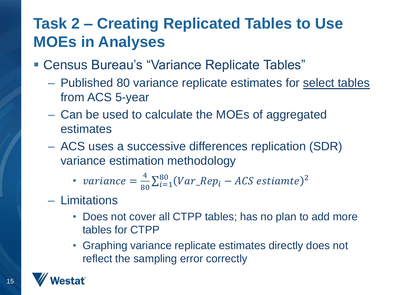- Census Bureau's "Variance Replicate Tables"
	- Published 80 variance replicate estimates for select tables from ACS 5-year
	- Can be used to calculate the MOEs of aggregated estimates
	- ACS uses a successive differences replication (SDR) variance estimation methodology

• variance = 
$$
\frac{4}{80} \sum_{i=1}^{80} (Var_{Rep_i} - ACS \ estimate)^2
$$

- Limitations
	- Does not cover all CTPP tables; has no plan to add more tables for CTPP
	- Graphing variance replicate estimates directly does not reflect the sampling error correctly

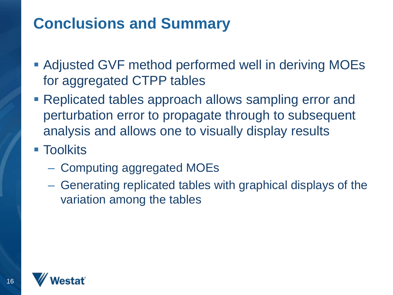### **Conclusions and Summary**

- Adjusted GVF method performed well in deriving MOEs for aggregated CTPP tables
- Replicated tables approach allows sampling error and perturbation error to propagate through to subsequent analysis and allows one to visually display results
- Toolkits
	- Computing aggregated MOEs
	- Generating replicated tables with graphical displays of the variation among the tables